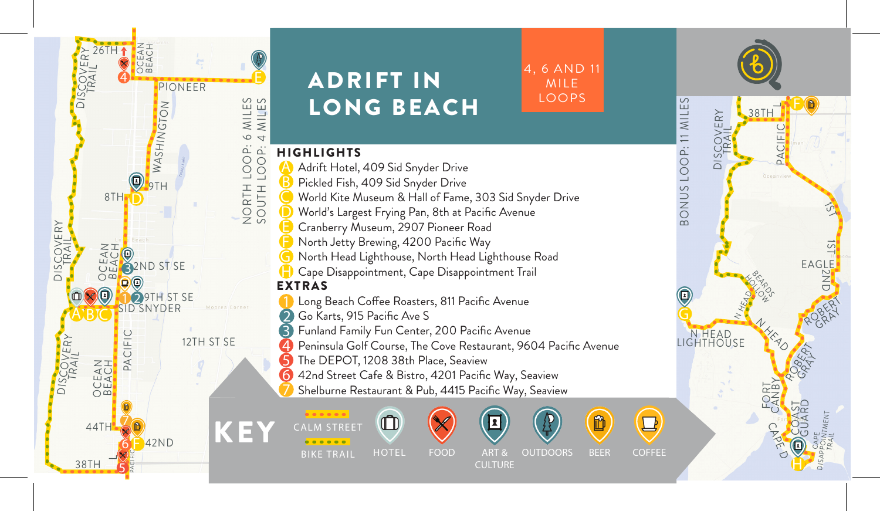

**H F**  $38T$ PACIFIC  $\mathfrak{D}$ 1ST EAGLE2ND ROBERT **PRAY** ROBERT GRAY N HEAD N HEAD BRANCO **HOLLOW RD** LIGHTHOUSE FORT CANBY COAST GUARD CAPE D CAPE DISAPPOINTMENT TRAIL  $\overline{\phantom{0}}$